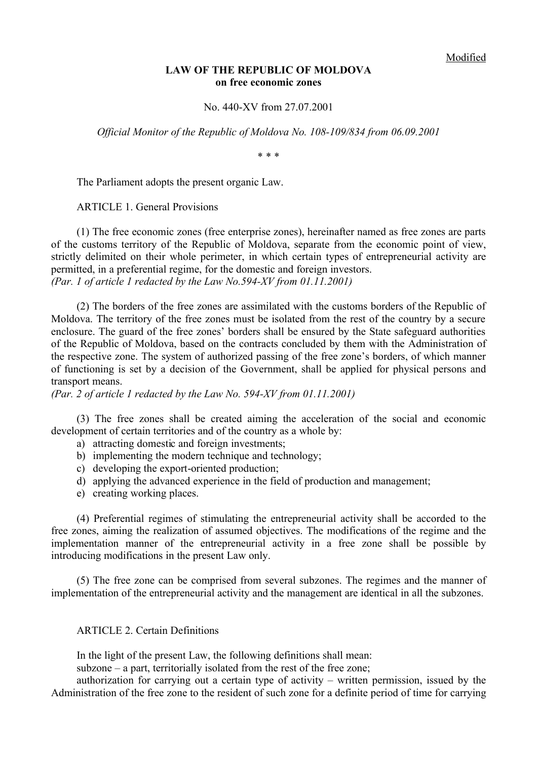### **LAW OF THE REPUBLIC OF MOLDOVA on free economic zones**

No. 440-XV from 27.07.2001

*Official Monitor of the Republic of Moldova No. 108-109/834 from 06.09.2001*

\* \* \*

The Parliament adopts the present organic Law.

ARTICLE 1. General Provisions

(1) The free economic zones (free enterprise zones), hereinafter named as free zones are parts of the customs territory of the Republic of Moldova, separate from the economic point of view, strictly delimited on their whole perimeter, in which certain types of entrepreneurial activity are permitted, in a preferential regime, for the domestic and foreign investors. *(Par. 1 of article 1 redacted by the Law No.594-XV from 01.11.2001)*

(2) The borders of the free zones are assimilated with the customs borders of the Republic of Moldova. The territory of the free zones must be isolated from the rest of the country by a secure enclosure. The guard of the free zones' borders shall be ensured by the State safeguard authorities of the Republic of Moldova, based on the contracts concluded by them with the Administration of the respective zone. The system of authorized passing of the free zone's borders, of which manner of functioning is set by a decision of the Government, shall be applied for physical persons and transport means.

*(Par. 2 of article 1 redacted by the Law No. 594-XV from 01.11.2001)*

(3) The free zones shall be created aiming the acceleration of the social and economic development of certain territories and of the country as a whole by:

- a) attracting domestic and foreign investments;
- b) implementing the modern technique and technology;
- c) developing the export-oriented production;
- d) applying the advanced experience in the field of production and management;
- e) creating working places.

(4) Preferential regimes of stimulating the entrepreneurial activity shall be accorded to the free zones, aiming the realization of assumed objectives. The modifications of the regime and the implementation manner of the entrepreneurial activity in a free zone shall be possible by introducing modifications in the present Law only.

(5) The free zone can be comprised from several subzones. The regimes and the manner of implementation of the entrepreneurial activity and the management are identical in all the subzones.

### ARTICLE 2. Certain Definitions

In the light of the present Law, the following definitions shall mean:

subzone – a part, territorially isolated from the rest of the free zone;

authorization for carrying out a certain type of activity – written permission, issued by the Administration of the free zone to the resident of such zone for a definite period of time for carrying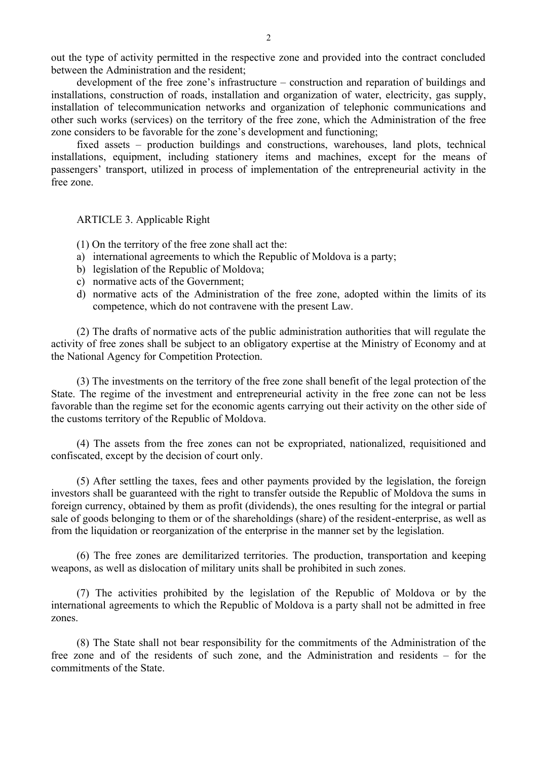out the type of activity permitted in the respective zone and provided into the contract concluded between the Administration and the resident;

development of the free zone's infrastructure – construction and reparation of buildings and installations, construction of roads, installation and organization of water, electricity, gas supply, installation of telecommunication networks and organization of telephonic communications and other such works (services) on the territory of the free zone, which the Administration of the free zone considers to be favorable for the zone's development and functioning;

fixed assets – production buildings and constructions, warehouses, land plots, technical installations, equipment, including stationery items and machines, except for the means of passengers' transport, utilized in process of implementation of the entrepreneurial activity in the free zone.

ARTICLE 3. Applicable Right

- (1) On the territory of the free zone shall act the:
- a) international agreements to which the Republic of Moldova is a party;
- b) legislation of the Republic of Moldova;
- c) normative acts of the Government;
- d) normative acts of the Administration of the free zone, adopted within the limits of its competence, which do not contravene with the present Law.

(2) The drafts of normative acts of the public administration authorities that will regulate the activity of free zones shall be subject to an obligatory expertise at the Ministry of Economy and at the National Agency for Competition Protection.

(3) The investments on the territory of the free zone shall benefit of the legal protection of the State. The regime of the investment and entrepreneurial activity in the free zone can not be less favorable than the regime set for the economic agents carrying out their activity on the other side of the customs territory of the Republic of Moldova.

(4) The assets from the free zones can not be expropriated, nationalized, requisitioned and confiscated, except by the decision of court only.

(5) After settling the taxes, fees and other payments provided by the legislation, the foreign investors shall be guaranteed with the right to transfer outside the Republic of Moldova the sums in foreign currency, obtained by them as profit (dividends), the ones resulting for the integral or partial sale of goods belonging to them or of the shareholdings (share) of the resident-enterprise, as well as from the liquidation or reorganization of the enterprise in the manner set by the legislation.

(6) The free zones are demilitarized territories. The production, transportation and keeping weapons, as well as dislocation of military units shall be prohibited in such zones.

(7) The activities prohibited by the legislation of the Republic of Moldova or by the international agreements to which the Republic of Moldova is a party shall not be admitted in free zones.

(8) The State shall not bear responsibility for the commitments of the Administration of the free zone and of the residents of such zone, and the Administration and residents – for the commitments of the State.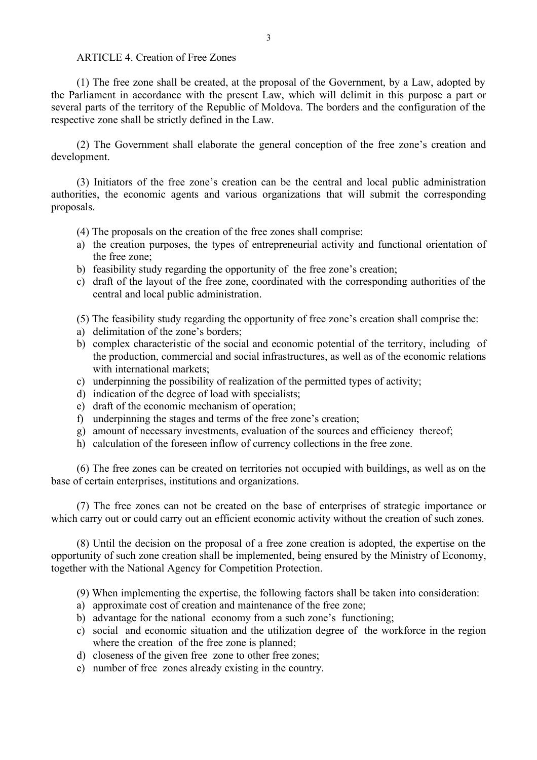# ARTICLE 4. Creation of Free Zones

(1) The free zone shall be created, at the proposal of the Government, by a Law, adopted by the Parliament in accordance with the present Law, which will delimit in this purpose a part or several parts of the territory of the Republic of Moldova. The borders and the configuration of the respective zone shall be strictly defined in the Law.

(2) The Government shall elaborate the general conception of the free zone's creation and development.

(3) Initiators of the free zone's creation can be the central and local public administration authorities, the economic agents and various organizations that will submit the corresponding proposals.

- (4) The proposals on the creation of the free zones shall comprise:
- a) the creation purposes, the types of entrepreneurial activity and functional orientation of the free zone;
- b) feasibility study regarding the opportunity of the free zone's creation;
- c) draft of the layout of the free zone, coordinated with the corresponding authorities of the central and local public administration.

(5) The feasibility study regarding the opportunity of free zone's creation shall comprise the:

- a) delimitation of the zone's borders;
- b) complex characteristic of the social and economic potential of the territory, including of the production, commercial and social infrastructures, as well as of the economic relations with international markets;
- c) underpinning the possibility of realization of the permitted types of activity;
- d) indication of the degree of load with specialists;
- e) draft of the economic mechanism of operation;
- f) underpinning the stages and terms of the free zone's creation;
- g) amount of necessary investments, evaluation of the sources and efficiency thereof;
- h) calculation of the foreseen inflow of currency collections in the free zone.

(6) The free zones can be created on territories not occupied with buildings, as well as on the base of certain enterprises, institutions and organizations.

(7) The free zones can not be created on the base of enterprises of strategic importance or which carry out or could carry out an efficient economic activity without the creation of such zones.

(8) Until the decision on the proposal of a free zone creation is adopted, the expertise on the opportunity of such zone creation shall be implemented, being ensured by the Ministry of Economy, together with the National Agency for Competition Protection.

(9) When implementing the expertise, the following factors shall be taken into consideration:

- a) approximate cost of creation and maintenance of the free zone;
- b) advantage for the national economy from a such zone's functioning;
- c) social and economic situation and the utilization degree of the workforce in the region where the creation of the free zone is planned:
- d) closeness of the given free zone to other free zones;
- e) number of free zones already existing in the country.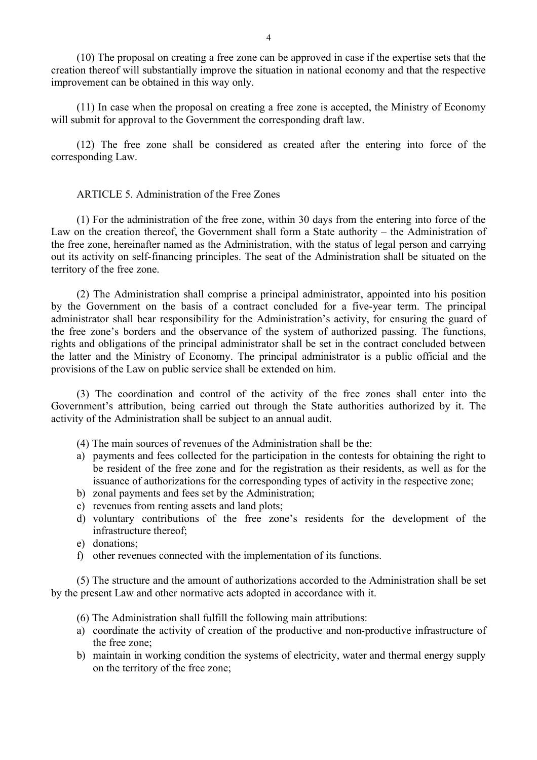(10) The proposal on creating a free zone can be approved in case if the expertise sets that the creation thereof will substantially improve the situation in national economy and that the respective improvement can be obtained in this way only.

(11) In case when the proposal on creating a free zone is accepted, the Ministry of Economy will submit for approval to the Government the corresponding draft law.

(12) The free zone shall be considered as created after the entering into force of the corresponding Law.

### ARTICLE 5. Administration of the Free Zones

(1) For the administration of the free zone, within 30 days from the entering into force of the Law on the creation thereof, the Government shall form a State authority – the Administration of the free zone, hereinafter named as the Administration, with the status of legal person and carrying out its activity on self-financing principles. The seat of the Administration shall be situated on the territory of the free zone.

(2) The Administration shall comprise a principal administrator, appointed into his position by the Government on the basis of a contract concluded for a five-year term. The principal administrator shall bear responsibility for the Administration's activity, for ensuring the guard of the free zone's borders and the observance of the system of authorized passing. The functions, rights and obligations of the principal administrator shall be set in the contract concluded between the latter and the Ministry of Economy. The principal administrator is a public official and the provisions of the Law on public service shall be extended on him.

(3) The coordination and control of the activity of the free zones shall enter into the Government's attribution, being carried out through the State authorities authorized by it. The activity of the Administration shall be subject to an annual audit.

- (4) The main sources of revenues of the Administration shall be the:
- a) payments and fees collected for the participation in the contests for obtaining the right to be resident of the free zone and for the registration as their residents, as well as for the issuance of authorizations for the corresponding types of activity in the respective zone;
- b) zonal payments and fees set by the Administration;
- c) revenues from renting assets and land plots;
- d) voluntary contributions of the free zone's residents for the development of the infrastructure thereof;
- e) donations;
- f) other revenues connected with the implementation of its functions.

(5) The structure and the amount of authorizations accorded to the Administration shall be set by the present Law and other normative acts adopted in accordance with it.

- (6) The Administration shall fulfill the following main attributions:
- a) coordinate the activity of creation of the productive and non-productive infrastructure of the free zone;
- b) maintain in working condition the systems of electricity, water and thermal energy supply on the territory of the free zone;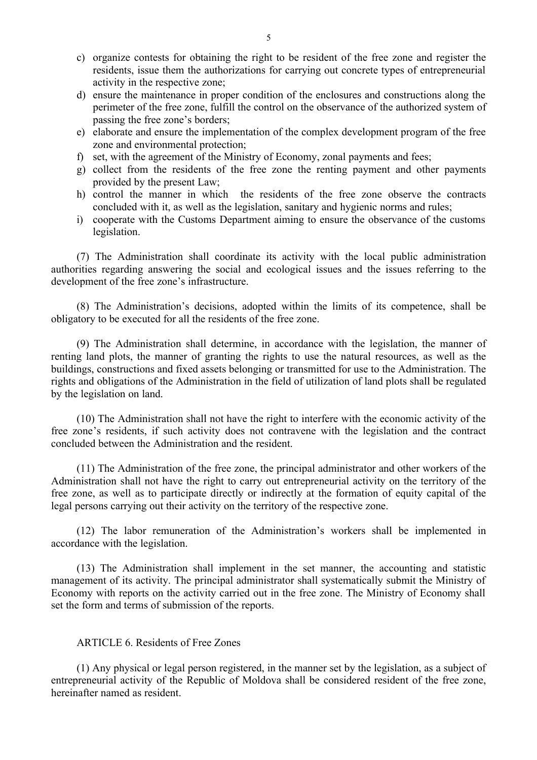- c) organize contests for obtaining the right to be resident of the free zone and register the residents, issue them the authorizations for carrying out concrete types of entrepreneurial activity in the respective zone;
- d) ensure the maintenance in proper condition of the enclosures and constructions along the perimeter of the free zone, fulfill the control on the observance of the authorized system of passing the free zone's borders;
- e) elaborate and ensure the implementation of the complex development program of the free zone and environmental protection;
- f) set, with the agreement of the Ministry of Economy, zonal payments and fees;
- g) collect from the residents of the free zone the renting payment and other payments provided by the present Law;
- h) control the manner in which the residents of the free zone observe the contracts concluded with it, as well as the legislation, sanitary and hygienic norms and rules;
- i) cooperate with the Customs Department aiming to ensure the observance of the customs legislation.

(7) The Administration shall coordinate its activity with the local public administration authorities regarding answering the social and ecological issues and the issues referring to the development of the free zone's infrastructure.

(8) The Administration's decisions, adopted within the limits of its competence, shall be obligatory to be executed for all the residents of the free zone.

(9) The Administration shall determine, in accordance with the legislation, the manner of renting land plots, the manner of granting the rights to use the natural resources, as well as the buildings, constructions and fixed assets belonging or transmitted for use to the Administration. The rights and obligations of the Administration in the field of utilization of land plots shall be regulated by the legislation on land.

(10) The Administration shall not have the right to interfere with the economic activity of the free zone's residents, if such activity does not contravene with the legislation and the contract concluded between the Administration and the resident.

(11) The Administration of the free zone, the principal administrator and other workers of the Administration shall not have the right to carry out entrepreneurial activity on the territory of the free zone, as well as to participate directly or indirectly at the formation of equity capital of the legal persons carrying out their activity on the territory of the respective zone.

(12) The labor remuneration of the Administration's workers shall be implemented in accordance with the legislation.

(13) The Administration shall implement in the set manner, the accounting and statistic management of its activity. The principal administrator shall systematically submit the Ministry of Economy with reports on the activity carried out in the free zone. The Ministry of Economy shall set the form and terms of submission of the reports.

# ARTICLE 6. Residents of Free Zones

(1) Any physical or legal person registered, in the manner set by the legislation, as a subject of entrepreneurial activity of the Republic of Moldova shall be considered resident of the free zone, hereinafter named as resident.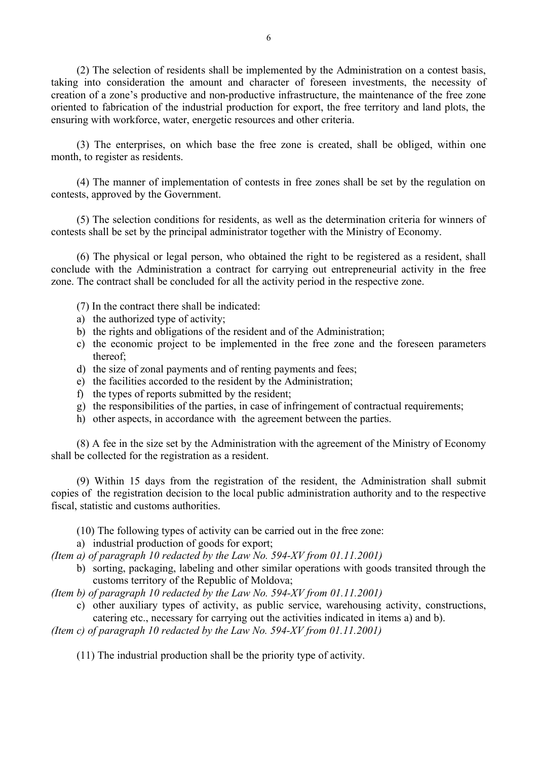(2) The selection of residents shall be implemented by the Administration on a contest basis, taking into consideration the amount and character of foreseen investments, the necessity of creation of a zone's productive and non-productive infrastructure, the maintenance of the free zone oriented to fabrication of the industrial production for export, the free territory and land plots, the ensuring with workforce, water, energetic resources and other criteria.

(3) The enterprises, on which base the free zone is created, shall be obliged, within one month, to register as residents.

(4) The manner of implementation of contests in free zones shall be set by the regulation on contests, approved by the Government.

(5) The selection conditions for residents, as well as the determination criteria for winners of contests shall be set by the principal administrator together with the Ministry of Economy.

(6) The physical or legal person, who obtained the right to be registered as a resident, shall conclude with the Administration a contract for carrying out entrepreneurial activity in the free zone. The contract shall be concluded for all the activity period in the respective zone.

- (7) In the contract there shall be indicated:
- a) the authorized type of activity;
- b) the rights and obligations of the resident and of the Administration;
- c) the economic project to be implemented in the free zone and the foreseen parameters thereof;
- d) the size of zonal payments and of renting payments and fees;
- e) the facilities accorded to the resident by the Administration;
- f) the types of reports submitted by the resident;
- g) the responsibilities of the parties, in case of infringement of contractual requirements;
- h) other aspects, in accordance with the agreement between the parties.

(8) A fee in the size set by the Administration with the agreement of the Ministry of Economy shall be collected for the registration as a resident.

(9) Within 15 days from the registration of the resident, the Administration shall submit copies of the registration decision to the local public administration authority and to the respective fiscal, statistic and customs authorities.

(10) The following types of activity can be carried out in the free zone:

a) industrial production of goods for export;

*(Item a) of paragraph 10 redacted by the Law No. 594-XV from 01.11.2001)*

b) sorting, packaging, labeling and other similar operations with goods transited through the customs territory of the Republic of Moldova;

*(Item b) of paragraph 10 redacted by the Law No. 594-XV from 01.11.2001)*

c) other auxiliary types of activity, as public service, warehousing activity, constructions, catering etc., necessary for carrying out the activities indicated in items a) and b).

*(Item c) of paragraph 10 redacted by the Law No. 594-XV from 01.11.2001)*

(11) The industrial production shall be the priority type of activity.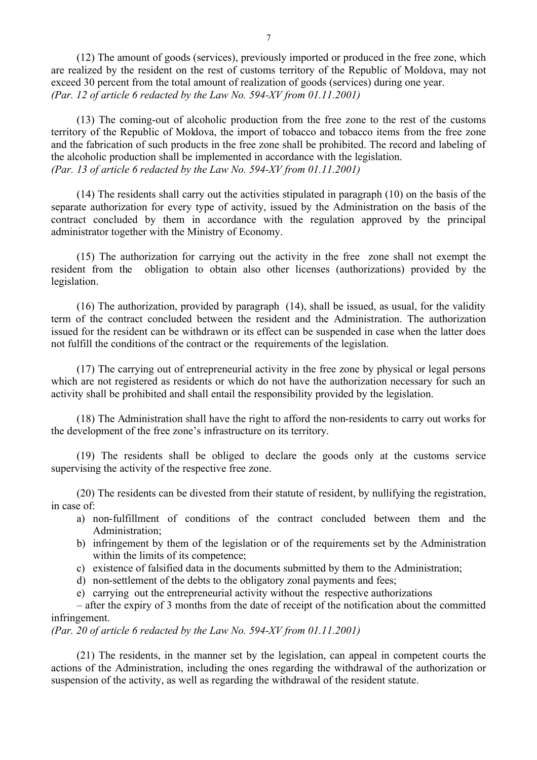(12) The amount of goods (services), previously imported or produced in the free zone, which are realized by the resident on the rest of customs territory of the Republic of Moldova, may not exceed 30 percent from the total amount of realization of goods (services) during one year. *(Par. 12 of article 6 redacted by the Law No. 594-XV from 01.11.2001)*

(13) The coming-out of alcoholic production from the free zone to the rest of the customs territory of the Republic of Moldova, the import of tobacco and tobacco items from the free zone and the fabrication of such products in the free zone shall be prohibited. The record and labeling of the alcoholic production shall be implemented in accordance with the legislation. *(Par. 13 of article 6 redacted by the Law No. 594-XV from 01.11.2001)*

(14) The residents shall carry out the activities stipulated in paragraph (10) on the basis of the separate authorization for every type of activity, issued by the Administration on the basis of the contract concluded by them in accordance with the regulation approved by the principal administrator together with the Ministry of Economy.

(15) The authorization for carrying out the activity in the free zone shall not exempt the resident from the obligation to obtain also other licenses (authorizations) provided by the legislation.

(16) The authorization, provided by paragraph (14), shall be issued, as usual, for the validity term of the contract concluded between the resident and the Administration. The authorization issued for the resident can be withdrawn or its effect can be suspended in case when the latter does not fulfill the conditions of the contract or the requirements of the legislation.

(17) The carrying out of entrepreneurial activity in the free zone by physical or legal persons which are not registered as residents or which do not have the authorization necessary for such an activity shall be prohibited and shall entail the responsibility provided by the legislation.

(18) The Administration shall have the right to afford the non-residents to carry out works for the development of the free zone's infrastructure on its territory.

(19) The residents shall be obliged to declare the goods only at the customs service supervising the activity of the respective free zone.

(20) The residents can be divested from their statute of resident, by nullifying the registration, in case of:

- a) non-fulfillment of conditions of the contract concluded between them and the Administration;
- b) infringement by them of the legislation or of the requirements set by the Administration within the limits of its competence;
- c) existence of falsified data in the documents submitted by them to the Administration;
- d) non-settlement of the debts to the obligatory zonal payments and fees;
- e) carrying out the entrepreneurial activity without the respective authorizations

– after the expiry of 3 months from the date of receipt of the notification about the committed infringement.

*(Par. 20 of article 6 redacted by the Law No. 594-XV from 01.11.2001)*

(21) The residents, in the manner set by the legislation, can appeal in competent courts the actions of the Administration, including the ones regarding the withdrawal of the authorization or suspension of the activity, as well as regarding the withdrawal of the resident statute.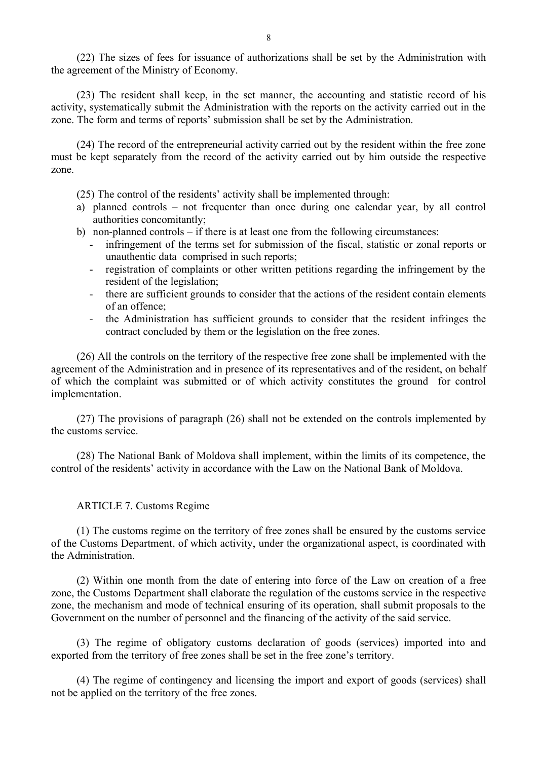(22) The sizes of fees for issuance of authorizations shall be set by the Administration with the agreement of the Ministry of Economy.

(23) The resident shall keep, in the set manner, the accounting and statistic record of his activity, systematically submit the Administration with the reports on the activity carried out in the zone. The form and terms of reports' submission shall be set by the Administration.

(24) The record of the entrepreneurial activity carried out by the resident within the free zone must be kept separately from the record of the activity carried out by him outside the respective zone.

(25) The control of the residents' activity shall be implemented through:

- a) planned controls not frequenter than once during one calendar year, by all control authorities concomitantly;
- b) non-planned controls if there is at least one from the following circumstances:
	- infringement of the terms set for submission of the fiscal, statistic or zonal reports or unauthentic data comprised in such reports;
	- registration of complaints or other written petitions regarding the infringement by the resident of the legislation;
	- there are sufficient grounds to consider that the actions of the resident contain elements of an offence;
	- the Administration has sufficient grounds to consider that the resident infringes the contract concluded by them or the legislation on the free zones.

(26) All the controls on the territory of the respective free zone shall be implemented with the agreement of the Administration and in presence of its representatives and of the resident, on behalf of which the complaint was submitted or of which activity constitutes the ground for control implementation.

(27) The provisions of paragraph (26) shall not be extended on the controls implemented by the customs service.

(28) The National Bank of Moldova shall implement, within the limits of its competence, the control of the residents' activity in accordance with the Law on the National Bank of Moldova.

#### ARTICLE 7. Customs Regime

(1) The customs regime on the territory of free zones shall be ensured by the customs service of the Customs Department, of which activity, under the organizational aspect, is coordinated with the Administration.

(2) Within one month from the date of entering into force of the Law on creation of a free zone, the Customs Department shall elaborate the regulation of the customs service in the respective zone, the mechanism and mode of technical ensuring of its operation, shall submit proposals to the Government on the number of personnel and the financing of the activity of the said service.

(3) The regime of obligatory customs declaration of goods (services) imported into and exported from the territory of free zones shall be set in the free zone's territory.

(4) The regime of contingency and licensing the import and export of goods (services) shall not be applied on the territory of the free zones.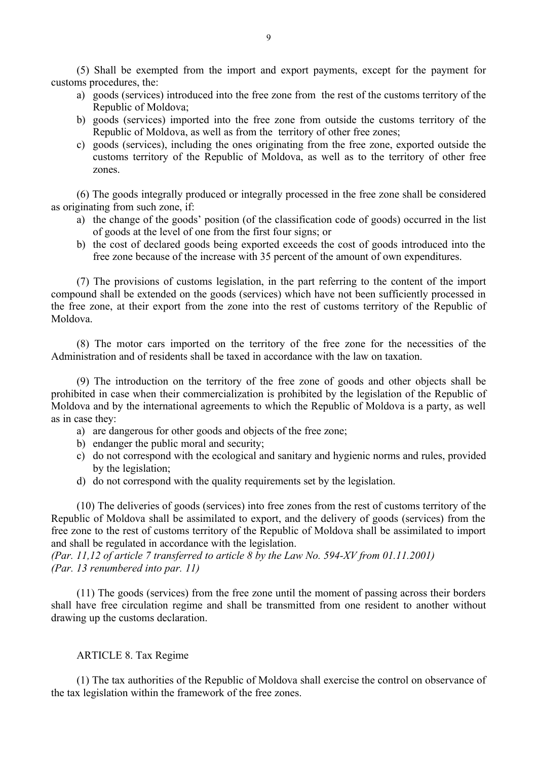(5) Shall be exempted from the import and export payments, except for the payment for customs procedures, the:

- a) goods (services) introduced into the free zone from the rest of the customs territory of the Republic of Moldova;
- b) goods (services) imported into the free zone from outside the customs territory of the Republic of Moldova, as well as from the territory of other free zones;
- c) goods (services), including the ones originating from the free zone, exported outside the customs territory of the Republic of Moldova, as well as to the territory of other free zones.

(6) The goods integrally produced or integrally processed in the free zone shall be considered as originating from such zone, if:

- a) the change of the goods' position (of the classification code of goods) occurred in the list of goods at the level of one from the first four signs; or
- b) the cost of declared goods being exported exceeds the cost of goods introduced into the free zone because of the increase with 35 percent of the amount of own expenditures.

(7) The provisions of customs legislation, in the part referring to the content of the import compound shall be extended on the goods (services) which have not been sufficiently processed in the free zone, at their export from the zone into the rest of customs territory of the Republic of Moldova.

(8) The motor cars imported on the territory of the free zone for the necessities of the Administration and of residents shall be taxed in accordance with the law on taxation.

(9) The introduction on the territory of the free zone of goods and other objects shall be prohibited in case when their commercialization is prohibited by the legislation of the Republic of Moldova and by the international agreements to which the Republic of Moldova is a party, as well as in case they:

- a) are dangerous for other goods and objects of the free zone;
- b) endanger the public moral and security;
- c) do not correspond with the ecological and sanitary and hygienic norms and rules, provided by the legislation;
- d) do not correspond with the quality requirements set by the legislation.

(10) The deliveries of goods (services) into free zones from the rest of customs territory of the Republic of Moldova shall be assimilated to export, and the delivery of goods (services) from the free zone to the rest of customs territory of the Republic of Moldova shall be assimilated to import and shall be regulated in accordance with the legislation.

*(Par. 11,12 of article 7 transferred to article 8 by the Law No. 594-XV from 01.11.2001) (Par. 13 renumbered into par. 11)*

(11) The goods (services) from the free zone until the moment of passing across their borders shall have free circulation regime and shall be transmitted from one resident to another without drawing up the customs declaration.

#### ARTICLE 8. Tax Regime

(1) The tax authorities of the Republic of Moldova shall exercise the control on observance of the tax legislation within the framework of the free zones.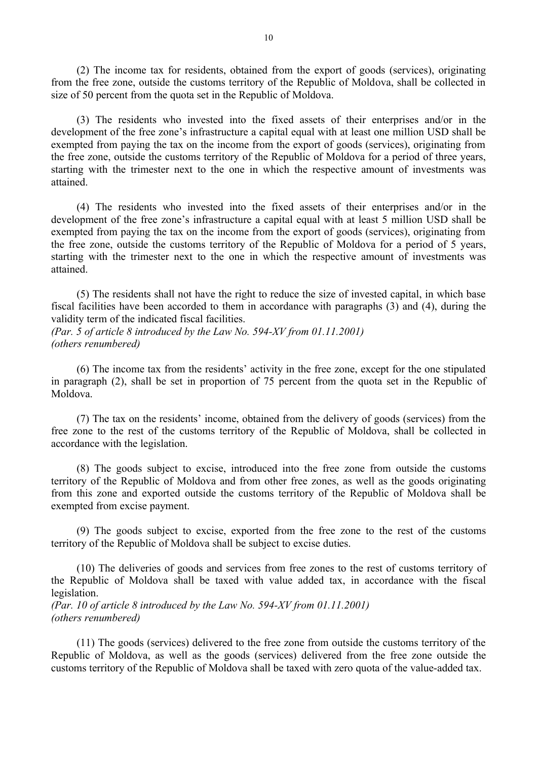(2) The income tax for residents, obtained from the export of goods (services), originating from the free zone, outside the customs territory of the Republic of Moldova, shall be collected in size of 50 percent from the quota set in the Republic of Moldova.

(3) The residents who invested into the fixed assets of their enterprises and/or in the development of the free zone's infrastructure a capital equal with at least one million USD shall be exempted from paying the tax on the income from the export of goods (services), originating from the free zone, outside the customs territory of the Republic of Moldova for a period of three years, starting with the trimester next to the one in which the respective amount of investments was attained.

(4) The residents who invested into the fixed assets of their enterprises and/or in the development of the free zone's infrastructure a capital equal with at least 5 million USD shall be exempted from paying the tax on the income from the export of goods (services), originating from the free zone, outside the customs territory of the Republic of Moldova for a period of 5 years, starting with the trimester next to the one in which the respective amount of investments was attained.

(5) The residents shall not have the right to reduce the size of invested capital, in which base fiscal facilities have been accorded to them in accordance with paragraphs (3) and (4), during the validity term of the indicated fiscal facilities.

*(Par. 5 of article 8 introduced by the Law No. 594-XV from 01.11.2001) (others renumbered)*

(6) The income tax from the residents' activity in the free zone, except for the one stipulated in paragraph (2), shall be set in proportion of 75 percent from the quota set in the Republic of Moldova.

(7) The tax on the residents' income, obtained from the delivery of goods (services) from the free zone to the rest of the customs territory of the Republic of Moldova, shall be collected in accordance with the legislation.

(8) The goods subject to excise, introduced into the free zone from outside the customs territory of the Republic of Moldova and from other free zones, as well as the goods originating from this zone and exported outside the customs territory of the Republic of Moldova shall be exempted from excise payment.

(9) The goods subject to excise, exported from the free zone to the rest of the customs territory of the Republic of Moldova shall be subject to excise duties.

(10) The deliveries of goods and services from free zones to the rest of customs territory of the Republic of Moldova shall be taxed with value added tax, in accordance with the fiscal legislation.

*(Par. 10 of article 8 introduced by the Law No. 594-XV from 01.11.2001) (others renumbered)*

(11) The goods (services) delivered to the free zone from outside the customs territory of the Republic of Moldova, as well as the goods (services) delivered from the free zone outside the customs territory of the Republic of Moldova shall be taxed with zero quota of the value-added tax.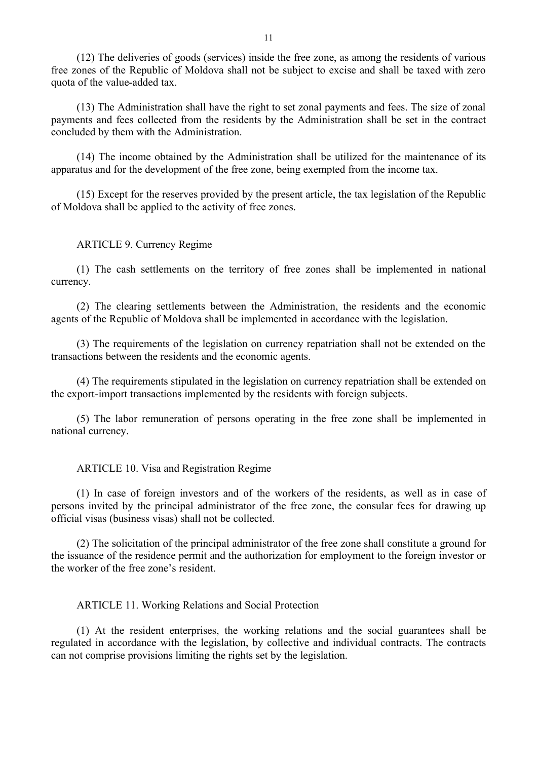(12) The deliveries of goods (services) inside the free zone, as among the residents of various free zones of the Republic of Moldova shall not be subject to excise and shall be taxed with zero quota of the value-added tax.

(13) The Administration shall have the right to set zonal payments and fees. The size of zonal payments and fees collected from the residents by the Administration shall be set in the contract concluded by them with the Administration.

(14) The income obtained by the Administration shall be utilized for the maintenance of its apparatus and for the development of the free zone, being exempted from the income tax.

(15) Except for the reserves provided by the present article, the tax legislation of the Republic of Moldova shall be applied to the activity of free zones.

### ARTICLE 9. Currency Regime

(1) The cash settlements on the territory of free zones shall be implemented in national currency.

(2) The clearing settlements between the Administration, the residents and the economic agents of the Republic of Moldova shall be implemented in accordance with the legislation.

(3) The requirements of the legislation on currency repatriation shall not be extended on the transactions between the residents and the economic agents.

(4) The requirements stipulated in the legislation on currency repatriation shall be extended on the export-import transactions implemented by the residents with foreign subjects.

(5) The labor remuneration of persons operating in the free zone shall be implemented in national currency.

### ARTICLE 10. Visa and Registration Regime

(1) In case of foreign investors and of the workers of the residents, as well as in case of persons invited by the principal administrator of the free zone, the consular fees for drawing up official visas (business visas) shall not be collected.

(2) The solicitation of the principal administrator of the free zone shall constitute a ground for the issuance of the residence permit and the authorization for employment to the foreign investor or the worker of the free zone's resident.

#### ARTICLE 11. Working Relations and Social Protection

(1) At the resident enterprises, the working relations and the social guarantees shall be regulated in accordance with the legislation, by collective and individual contracts. The contracts can not comprise provisions limiting the rights set by the legislation.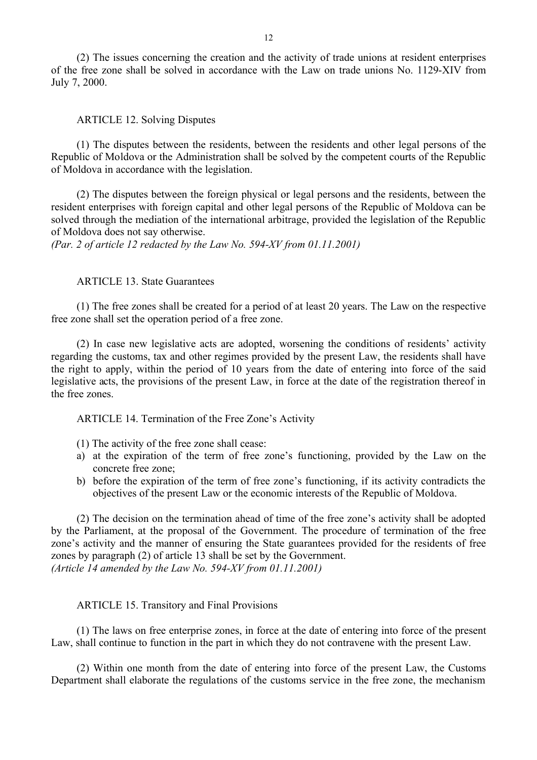(2) The issues concerning the creation and the activity of trade unions at resident enterprises of the free zone shall be solved in accordance with the Law on trade unions No. 1129-XIV from July 7, 2000.

#### ARTICLE 12. Solving Disputes

(1) The disputes between the residents, between the residents and other legal persons of the Republic of Moldova or the Administration shall be solved by the competent courts of the Republic of Moldova in accordance with the legislation.

(2) The disputes between the foreign physical or legal persons and the residents, between the resident enterprises with foreign capital and other legal persons of the Republic of Moldova can be solved through the mediation of the international arbitrage, provided the legislation of the Republic of Moldova does not say otherwise.

*(Par. 2 of article 12 redacted by the Law No. 594-XV from 01.11.2001)*

# ARTICLE 13. State Guarantees

(1) The free zones shall be created for a period of at least 20 years. The Law on the respective free zone shall set the operation period of a free zone.

(2) In case new legislative acts are adopted, worsening the conditions of residents' activity regarding the customs, tax and other regimes provided by the present Law, the residents shall have the right to apply, within the period of 10 years from the date of entering into force of the said legislative acts, the provisions of the present Law, in force at the date of the registration thereof in the free zones.

ARTICLE 14. Termination of the Free Zone's Activity

- (1) The activity of the free zone shall cease:
- a) at the expiration of the term of free zone's functioning, provided by the Law on the concrete free zone;
- b) before the expiration of the term of free zone's functioning, if its activity contradicts the objectives of the present Law or the economic interests of the Republic of Moldova.

(2) The decision on the termination ahead of time of the free zone's activity shall be adopted by the Parliament, at the proposal of the Government. The procedure of termination of the free zone's activity and the manner of ensuring the State guarantees provided for the residents of free zones by paragraph (2) of article 13 shall be set by the Government. *(Article 14 amended by the Law No. 594-XV from 01.11.2001)*

#### ARTICLE 15. Transitory and Final Provisions

(1) The laws on free enterprise zones, in force at the date of entering into force of the present Law, shall continue to function in the part in which they do not contravene with the present Law.

(2) Within one month from the date of entering into force of the present Law, the Customs Department shall elaborate the regulations of the customs service in the free zone, the mechanism